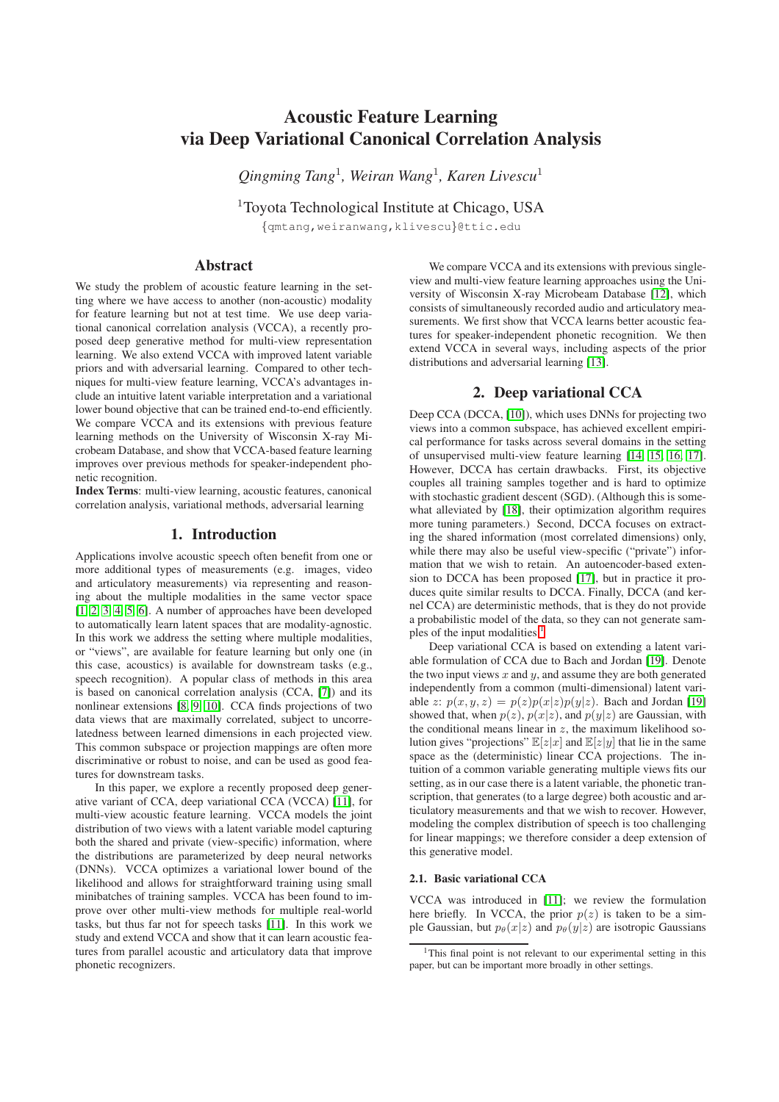# Acoustic Feature Learning via Deep Variational Canonical Correlation Analysis

*Qingming Tang*<sup>1</sup> *, Weiran Wang*<sup>1</sup> *, Karen Livescu*<sup>1</sup>

<sup>1</sup>Toyota Technological Institute at Chicago, USA {qmtang,weiranwang,klivescu}@ttic.edu

# Abstract

We study the problem of acoustic feature learning in the setting where we have access to another (non-acoustic) modality for feature learning but not at test time. We use deep variational canonical correlation analysis (VCCA), a recently proposed deep generative method for multi-view representation learning. We also extend VCCA with improved latent variable priors and with adversarial learning. Compared to other techniques for multi-view feature learning, VCCA's advantages include an intuitive latent variable interpretation and a variational lower bound objective that can be trained end-to-end efficiently. We compare VCCA and its extensions with previous feature learning methods on the University of Wisconsin X-ray Microbeam Database, and show that VCCA-based feature learning improves over previous methods for speaker-independent phonetic recognition.

Index Terms: multi-view learning, acoustic features, canonical correlation analysis, variational methods, adversarial learning

## 1. Introduction

Applications involve acoustic speech often benefit from one or more additional types of measurements (e.g. images, video and articulatory measurements) via representing and reasoning about the multiple modalities in the same vector space [\[1,](#page-4-0) [2,](#page-4-1) [3,](#page-4-2) [4,](#page-4-3) [5,](#page-4-4) [6\]](#page-4-5). A number of approaches have been developed to automatically learn latent spaces that are modality-agnostic. In this work we address the setting where multiple modalities, or "views", are available for feature learning but only one (in this case, acoustics) is available for downstream tasks (e.g., speech recognition). A popular class of methods in this area is based on canonical correlation analysis (CCA, [\[7\]](#page-4-6)) and its nonlinear extensions [\[8,](#page-4-7) [9,](#page-4-8) [10\]](#page-4-9). CCA finds projections of two data views that are maximally correlated, subject to uncorrelatedness between learned dimensions in each projected view. This common subspace or projection mappings are often more discriminative or robust to noise, and can be used as good features for downstream tasks.

In this paper, we explore a recently proposed deep generative variant of CCA, deep variational CCA (VCCA) [\[11\]](#page-4-10), for multi-view acoustic feature learning. VCCA models the joint distribution of two views with a latent variable model capturing both the shared and private (view-specific) information, where the distributions are parameterized by deep neural networks (DNNs). VCCA optimizes a variational lower bound of the likelihood and allows for straightforward training using small minibatches of training samples. VCCA has been found to improve over other multi-view methods for multiple real-world tasks, but thus far not for speech tasks [\[11\]](#page-4-10). In this work we study and extend VCCA and show that it can learn acoustic features from parallel acoustic and articulatory data that improve phonetic recognizers.

We compare VCCA and its extensions with previous singleview and multi-view feature learning approaches using the University of Wisconsin X-ray Microbeam Database [\[12\]](#page-4-11), which consists of simultaneously recorded audio and articulatory measurements. We first show that VCCA learns better acoustic features for speaker-independent phonetic recognition. We then extend VCCA in several ways, including aspects of the prior distributions and adversarial learning [\[13\]](#page-4-12).

# 2. Deep variational CCA

Deep CCA (DCCA, [\[10\]](#page-4-9)), which uses DNNs for projecting two views into a common subspace, has achieved excellent empirical performance for tasks across several domains in the setting of unsupervised multi-view feature learning [\[14,](#page-4-13) [15,](#page-4-14) [16,](#page-4-15) [17\]](#page-4-16). However, DCCA has certain drawbacks. First, its objective couples all training samples together and is hard to optimize with stochastic gradient descent (SGD). (Although this is somewhat alleviated by [\[18\]](#page-4-17), their optimization algorithm requires more tuning parameters.) Second, DCCA focuses on extracting the shared information (most correlated dimensions) only, while there may also be useful view-specific ("private") information that we wish to retain. An autoencoder-based extension to DCCA has been proposed [\[17\]](#page-4-16), but in practice it produces quite similar results to DCCA. Finally, DCCA (and kernel CCA) are deterministic methods, that is they do not provide a probabilistic model of the data, so they can not generate samples of the input modalities. $<sup>1</sup>$  $<sup>1</sup>$  $<sup>1</sup>$ </sup>

Deep variational CCA is based on extending a latent variable formulation of CCA due to Bach and Jordan [\[19\]](#page-4-18). Denote the two input views  $x$  and  $y$ , and assume they are both generated independently from a common (multi-dimensional) latent variable z:  $p(x, y, z) = p(z)p(x|z)p(y|z)$ . Bach and Jordan [\[19\]](#page-4-18) showed that, when  $p(z)$ ,  $p(x|z)$ , and  $p(y|z)$  are Gaussian, with the conditional means linear in  $z$ , the maximum likelihood solution gives "projections"  $\mathbb{E}[z|x]$  and  $\mathbb{E}[z|y]$  that lie in the same space as the (deterministic) linear CCA projections. The intuition of a common variable generating multiple views fits our setting, as in our case there is a latent variable, the phonetic transcription, that generates (to a large degree) both acoustic and articulatory measurements and that we wish to recover. However, modeling the complex distribution of speech is too challenging for linear mappings; we therefore consider a deep extension of this generative model.

## 2.1. Basic variational CCA

VCCA was introduced in [\[11\]](#page-4-10); we review the formulation here briefly. In VCCA, the prior  $p(z)$  is taken to be a simple Gaussian, but  $p_{\theta}(x|z)$  and  $p_{\theta}(y|z)$  are isotropic Gaussians

<span id="page-0-0"></span><sup>&</sup>lt;sup>1</sup>This final point is not relevant to our experimental setting in this paper, but can be important more broadly in other settings.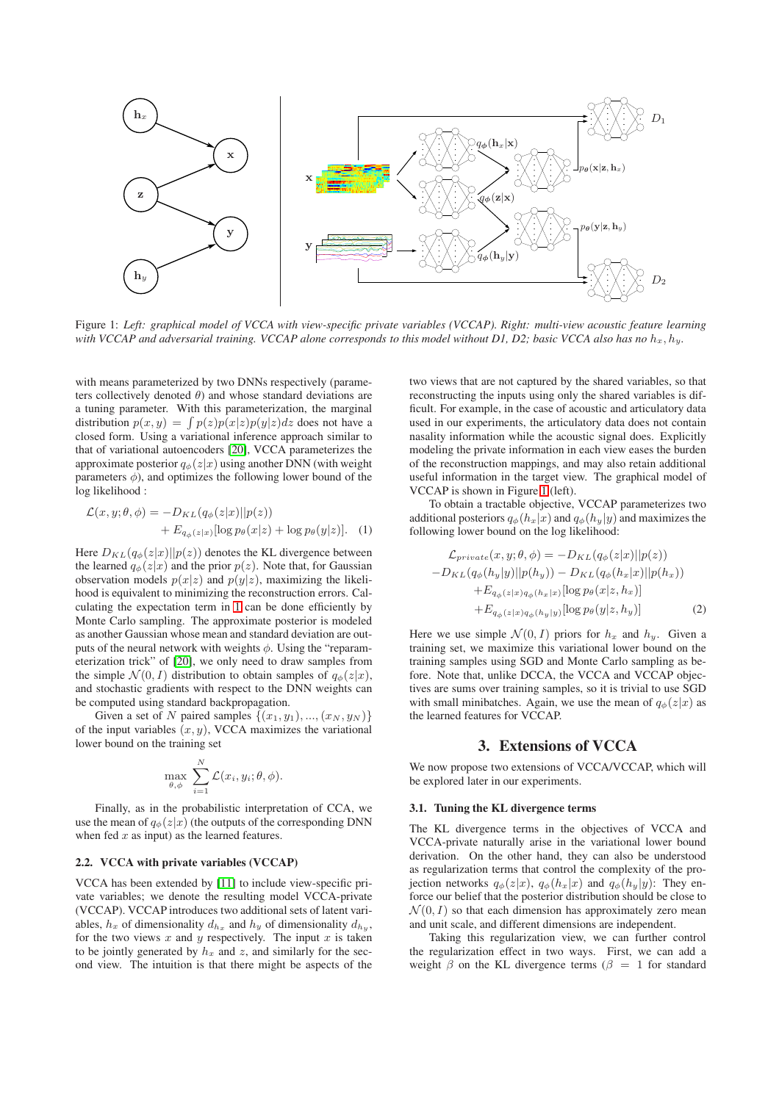<span id="page-1-1"></span>

Figure 1: *Left: graphical model of VCCA with view-specific private variables (VCCAP). Right: multi-view acoustic feature learning with VCCAP and adversarial training. VCCAP alone corresponds to this model without D1, D2; basic VCCA also has no*  $h_x$ ,  $h_y$ .

with means parameterized by two DNNs respectively (parameters collectively denoted  $\theta$ ) and whose standard deviations are a tuning parameter. With this parameterization, the marginal distribution  $p(x, y) = \int p(z)p(x|z)p(y|z)dz$  does not have a closed form. Using a variational inference approach similar to that of variational autoencoders [\[20\]](#page-4-19), VCCA parameterizes the approximate posterior  $q_{\phi}(z|x)$  using another DNN (with weight parameters  $\phi$ ), and optimizes the following lower bound of the log likelihood :

$$
\mathcal{L}(x, y; \theta, \phi) = -D_{KL}(q_{\phi}(z|x)||p(z)) \n+ E_{q_{\phi}(z|x)}[\log p_{\theta}(x|z) + \log p_{\theta}(y|z)].
$$
 (1)

Here  $D_{KL}(q_{\phi}(z|x)||p(z))$  denotes the KL divergence between the learned  $q_{\phi}(z|x)$  and the prior  $p(z)$ . Note that, for Gaussian observation models  $p(x|z)$  and  $p(y|z)$ , maximizing the likelihood is equivalent to minimizing the reconstruction errors. Calculating the expectation term in [1](#page-1-0) can be done efficiently by Monte Carlo sampling. The approximate posterior is modeled as another Gaussian whose mean and standard deviation are outputs of the neural network with weights  $\phi$ . Using the "reparameterization trick" of [\[20\]](#page-4-19), we only need to draw samples from the simple  $\mathcal{N}(0, I)$  distribution to obtain samples of  $q_{\phi}(z|x)$ , and stochastic gradients with respect to the DNN weights can be computed using standard backpropagation.

Given a set of N paired samples  $\{(x_1, y_1), ..., (x_N, y_N)\}\$ of the input variables  $(x, y)$ , VCCA maximizes the variational lower bound on the training set

$$
\max_{\theta,\phi} \sum_{i=1}^N \mathcal{L}(x_i, y_i; \theta, \phi).
$$

Finally, as in the probabilistic interpretation of CCA, we use the mean of  $q_{\phi}(z|x)$  (the outputs of the corresponding DNN when fed  $x$  as input) as the learned features.

## 2.2. VCCA with private variables (VCCAP)

VCCA has been extended by [\[11\]](#page-4-10) to include view-specific private variables; we denote the resulting model VCCA-private (VCCAP). VCCAP introduces two additional sets of latent variables,  $h_x$  of dimensionality  $d_{h_x}$  and  $h_y$  of dimensionality  $d_{h_y}$ , for the two views x and y respectively. The input x is taken to be jointly generated by  $h_x$  and z, and similarly for the second view. The intuition is that there might be aspects of the two views that are not captured by the shared variables, so that reconstructing the inputs using only the shared variables is difficult. For example, in the case of acoustic and articulatory data used in our experiments, the articulatory data does not contain nasality information while the acoustic signal does. Explicitly modeling the private information in each view eases the burden of the reconstruction mappings, and may also retain additional useful information in the target view. The graphical model of VCCAP is shown in Figure [1](#page-1-1) (left).

<span id="page-1-0"></span>To obtain a tractable objective, VCCAP parameterizes two additional posteriors  $q_{\phi}(h_x|x)$  and  $q_{\phi}(h_y|y)$  and maximizes the following lower bound on the log likelihood:

$$
\mathcal{L}_{private}(x, y; \theta, \phi) = -D_{KL}(q_{\phi}(z|x)||p(z))
$$
  
\n
$$
-D_{KL}(q_{\phi}(h_y|y)||p(h_y)) - D_{KL}(q_{\phi}(h_x|x)||p(h_x))
$$
  
\n
$$
+E_{q_{\phi}(z|x)q_{\phi}(h_x|x)}[\log p_{\theta}(x|z, h_x)]
$$
  
\n
$$
+E_{q_{\phi}(z|x)q_{\phi}(h_y|y)}[\log p_{\theta}(y|z, h_y)]
$$
\n(2)

Here we use simple  $\mathcal{N}(0, I)$  priors for  $h_x$  and  $h_y$ . Given a training set, we maximize this variational lower bound on the training samples using SGD and Monte Carlo sampling as before. Note that, unlike DCCA, the VCCA and VCCAP objectives are sums over training samples, so it is trivial to use SGD with small minibatches. Again, we use the mean of  $q_{\phi}(z|x)$  as the learned features for VCCAP.

## 3. Extensions of VCCA

We now propose two extensions of VCCA/VCCAP, which will be explored later in our experiments.

## <span id="page-1-2"></span>3.1. Tuning the KL divergence terms

The KL divergence terms in the objectives of VCCA and VCCA-private naturally arise in the variational lower bound derivation. On the other hand, they can also be understood as regularization terms that control the complexity of the projection networks  $q_{\phi}(z|x)$ ,  $q_{\phi}(h_x|x)$  and  $q_{\phi}(h_y|y)$ : They enforce our belief that the posterior distribution should be close to  $\mathcal{N}(0, I)$  so that each dimension has approximately zero mean and unit scale, and different dimensions are independent.

Taking this regularization view, we can further control the regularization effect in two ways. First, we can add a weight  $\beta$  on the KL divergence terms ( $\beta = 1$  for standard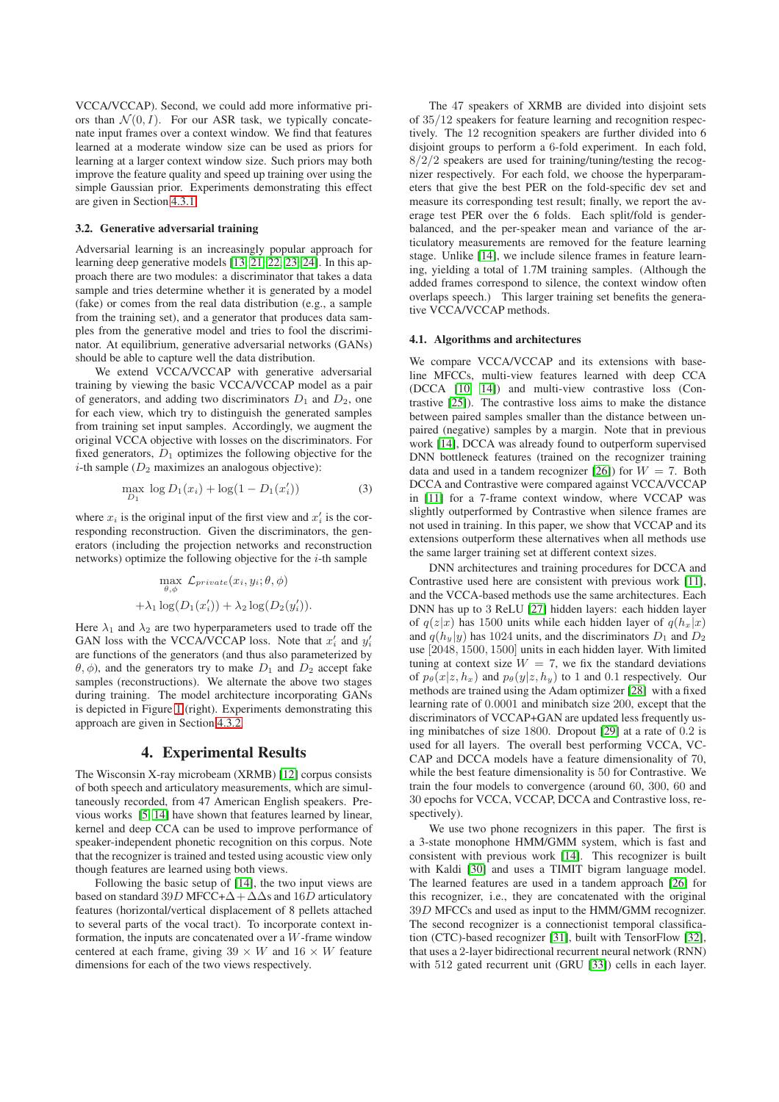VCCA/VCCAP). Second, we could add more informative priors than  $\mathcal{N}(0, I)$ . For our ASR task, we typically concatenate input frames over a context window. We find that features learned at a moderate window size can be used as priors for learning at a larger context window size. Such priors may both improve the feature quality and speed up training over using the simple Gaussian prior. Experiments demonstrating this effect are given in Section [4.3.1.](#page-3-0)

#### <span id="page-2-0"></span>3.2. Generative adversarial training

Adversarial learning is an increasingly popular approach for learning deep generative models [\[13,](#page-4-12) [21,](#page-4-20) [22,](#page-4-21) [23,](#page-4-22) [24\]](#page-4-23). In this approach there are two modules: a discriminator that takes a data sample and tries determine whether it is generated by a model (fake) or comes from the real data distribution (e.g., a sample from the training set), and a generator that produces data samples from the generative model and tries to fool the discriminator. At equilibrium, generative adversarial networks (GANs) should be able to capture well the data distribution.

We extend VCCA/VCCAP with generative adversarial training by viewing the basic VCCA/VCCAP model as a pair of generators, and adding two discriminators  $D_1$  and  $D_2$ , one for each view, which try to distinguish the generated samples from training set input samples. Accordingly, we augment the original VCCA objective with losses on the discriminators. For fixed generators,  $D_1$  optimizes the following objective for the *i*-th sample  $(D_2$  maximizes an analogous objective):

$$
\max_{D_1} \log D_1(x_i) + \log(1 - D_1(x'_i)) \tag{3}
$$

where  $x_i$  is the original input of the first view and  $x_i$  is the corresponding reconstruction. Given the discriminators, the generators (including the projection networks and reconstruction networks) optimize the following objective for the  $i$ -th sample

$$
\max_{\theta,\phi} \mathcal{L}_{private}(x_i, y_i; \theta, \phi)
$$

$$
+ \lambda_1 \log(D_1(x_i')) + \lambda_2 \log(D_2(y_i')).
$$

Here  $\lambda_1$  and  $\lambda_2$  are two hyperparameters used to trade off the GAN loss with the VCCA/VCCAP loss. Note that  $x'_i$  and  $y'_i$ are functions of the generators (and thus also parameterized by  $\theta$ ,  $\phi$ ), and the generators try to make  $D_1$  and  $D_2$  accept fake samples (reconstructions). We alternate the above two stages during training. The model architecture incorporating GANs is depicted in Figure [1](#page-1-1) (right). Experiments demonstrating this approach are given in Section [4.3.2.](#page-3-1)

## 4. Experimental Results

The Wisconsin X-ray microbeam (XRMB) [\[12\]](#page-4-11) corpus consists of both speech and articulatory measurements, which are simultaneously recorded, from 47 American English speakers. Previous works [\[5,](#page-4-4) [14\]](#page-4-13) have shown that features learned by linear, kernel and deep CCA can be used to improve performance of speaker-independent phonetic recognition on this corpus. Note that the recognizer is trained and tested using acoustic view only though features are learned using both views.

Following the basic setup of [\[14\]](#page-4-13), the two input views are based on standard 39D MFCC+ $\Delta + \Delta\Delta$ s and 16D articulatory features (horizontal/vertical displacement of 8 pellets attached to several parts of the vocal tract). To incorporate context information, the inputs are concatenated over a  $\hat{W}$ -frame window centered at each frame, giving  $39 \times W$  and  $16 \times W$  feature dimensions for each of the two views respectively.

The 47 speakers of XRMB are divided into disjoint sets of 35/12 speakers for feature learning and recognition respectively. The 12 recognition speakers are further divided into 6 disjoint groups to perform a 6-fold experiment. In each fold,  $8/2/2$  speakers are used for training/tuning/testing the recognizer respectively. For each fold, we choose the hyperparameters that give the best PER on the fold-specific dev set and measure its corresponding test result; finally, we report the average test PER over the 6 folds. Each split/fold is genderbalanced, and the per-speaker mean and variance of the articulatory measurements are removed for the feature learning stage. Unlike [\[14\]](#page-4-13), we include silence frames in feature learning, yielding a total of 1.7M training samples. (Although the added frames correspond to silence, the context window often overlaps speech.) This larger training set benefits the generative VCCA/VCCAP methods.

#### 4.1. Algorithms and architectures

We compare VCCA/VCCAP and its extensions with baseline MFCCs, multi-view features learned with deep CCA (DCCA [\[10,](#page-4-9) [14\]](#page-4-13)) and multi-view contrastive loss (Contrastive [\[25\]](#page-4-24)). The contrastive loss aims to make the distance between paired samples smaller than the distance between unpaired (negative) samples by a margin. Note that in previous work [\[14\]](#page-4-13), DCCA was already found to outperform supervised DNN bottleneck features (trained on the recognizer training data and used in a tandem recognizer [\[26\]](#page-4-25)) for  $W = 7$ . Both DCCA and Contrastive were compared against VCCA/VCCAP in [\[11\]](#page-4-10) for a 7-frame context window, where VCCAP was slightly outperformed by Contrastive when silence frames are not used in training. In this paper, we show that VCCAP and its extensions outperform these alternatives when all methods use the same larger training set at different context sizes.

DNN architectures and training procedures for DCCA and Contrastive used here are consistent with previous work [\[11\]](#page-4-10), and the VCCA-based methods use the same architectures. Each DNN has up to 3 ReLU [\[27\]](#page-4-26) hidden layers: each hidden layer of  $q(z|x)$  has 1500 units while each hidden layer of  $q(h_x|x)$ and  $q(h_y|y)$  has 1024 units, and the discriminators  $D_1$  and  $D_2$ use [2048, 1500, 1500] units in each hidden layer. With limited tuning at context size  $W = 7$ , we fix the standard deviations of  $p_{\theta}(x|z, h_x)$  and  $p_{\theta}(y|z, h_y)$  to 1 and 0.1 respectively. Our methods are trained using the Adam optimizer [\[28\]](#page-4-27) with a fixed learning rate of 0.0001 and minibatch size 200, except that the discriminators of VCCAP+GAN are updated less frequently using minibatches of size 1800. Dropout [\[29\]](#page-4-28) at a rate of 0.2 is used for all layers. The overall best performing VCCA, VC-CAP and DCCA models have a feature dimensionality of 70, while the best feature dimensionality is 50 for Contrastive. We train the four models to convergence (around 60, 300, 60 and 30 epochs for VCCA, VCCAP, DCCA and Contrastive loss, respectively).

We use two phone recognizers in this paper. The first is a 3-state monophone HMM/GMM system, which is fast and consistent with previous work [\[14\]](#page-4-13). This recognizer is built with Kaldi [\[30\]](#page-4-29) and uses a TIMIT bigram language model. The learned features are used in a tandem approach [\[26\]](#page-4-25) for this recognizer, i.e., they are concatenated with the original 39D MFCCs and used as input to the HMM/GMM recognizer. The second recognizer is a connectionist temporal classification (CTC)-based recognizer [\[31\]](#page-4-30), built with TensorFlow [\[32\]](#page-4-31), that uses a 2-layer bidirectional recurrent neural network (RNN) with 512 gated recurrent unit (GRU [\[33\]](#page-4-32)) cells in each layer.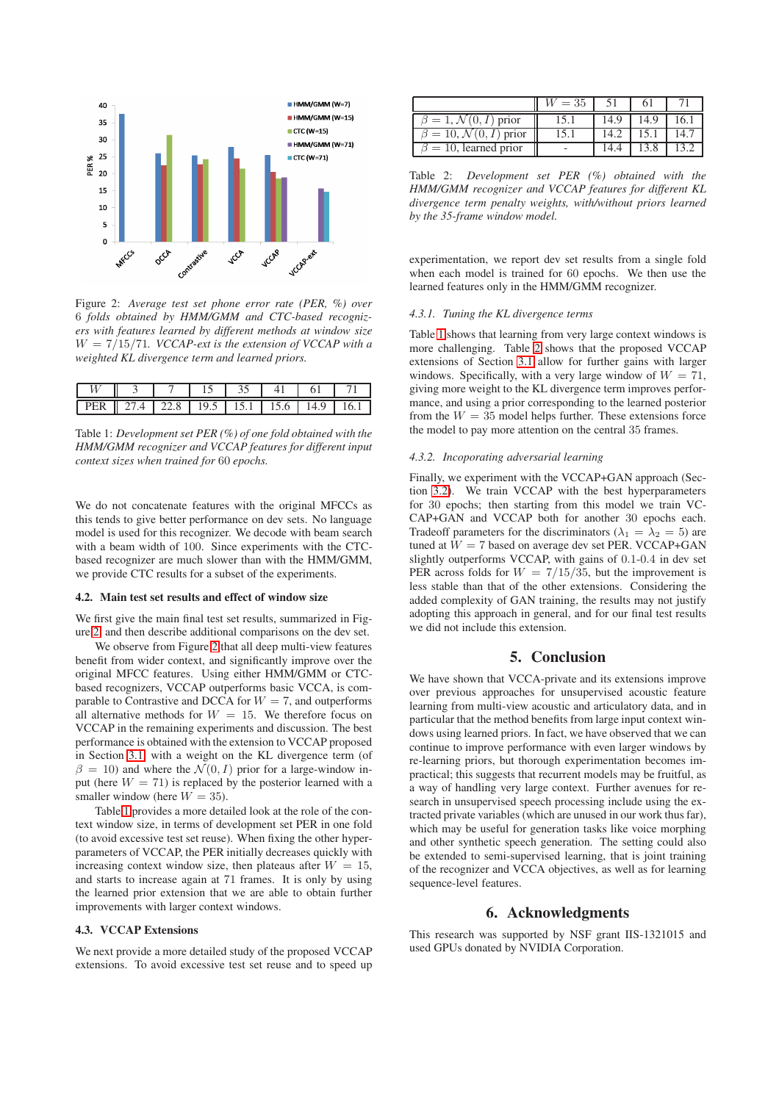<span id="page-3-2"></span>

Figure 2: *Average test set phone error rate (PER, %) over* 6 *folds obtained by HMM/GMM and CTC-based recognizers with features learned by different methods at window size* W = 7/15/71*. VCCAP-ext is the extension of VCCAP with a weighted KL divergence term and learned priors.*

<span id="page-3-3"></span>

|  |                                 |  | $\Delta$ |      |  |
|--|---------------------------------|--|----------|------|--|
|  | 7.4   22.8   19.5   15.1   15.6 |  |          | 14 Q |  |

Table 1: *Development set PER (%) of one fold obtained with the HMM/GMM recognizer and VCCAP features for different input context sizes when trained for* 60 *epochs.*

We do not concatenate features with the original MFCCs as this tends to give better performance on dev sets. No language model is used for this recognizer. We decode with beam search with a beam width of 100. Since experiments with the CTCbased recognizer are much slower than with the HMM/GMM, we provide CTC results for a subset of the experiments.

#### 4.2. Main test set results and effect of window size

We first give the main final test set results, summarized in Figure [2,](#page-3-2) and then describe additional comparisons on the dev set.

We observe from Figure [2](#page-3-2) that all deep multi-view features benefit from wider context, and significantly improve over the original MFCC features. Using either HMM/GMM or CTCbased recognizers, VCCAP outperforms basic VCCA, is comparable to Contrastive and DCCA for  $W = 7$ , and outperforms all alternative methods for  $W = 15$ . We therefore focus on VCCAP in the remaining experiments and discussion. The best performance is obtained with the extension to VCCAP proposed in Section [3.1,](#page-1-2) with a weight on the KL divergence term (of  $\beta = 10$ ) and where the  $\mathcal{N}(0, I)$  prior for a large-window input (here  $W = 71$ ) is replaced by the posterior learned with a smaller window (here  $W = 35$ ).

Table [1](#page-3-3) provides a more detailed look at the role of the context window size, in terms of development set PER in one fold (to avoid excessive test set reuse). When fixing the other hyperparameters of VCCAP, the PER initially decreases quickly with increasing context window size, then plateaus after  $W = 15$ , and starts to increase again at 71 frames. It is only by using the learned prior extension that we are able to obtain further improvements with larger context windows.

#### 4.3. VCCAP Extensions

We next provide a more detailed study of the proposed VCCAP extensions. To avoid excessive test set reuse and to speed up

<span id="page-3-4"></span>

|                                       | $= 35$ |     |    |
|---------------------------------------|--------|-----|----|
| $i=1, N$<br>l) prior                  |        | 4.9 | რ. |
| $\beta = 10, \mathcal{N}(0, I)$ prior |        |     |    |
| $\beta = 10$ , learned prior          |        |     |    |

Table 2: *Development set PER (%) obtained with the HMM/GMM recognizer and VCCAP features for different KL divergence term penalty weights, with/without priors learned by the 35-frame window model.*

experimentation, we report dev set results from a single fold when each model is trained for 60 epochs. We then use the learned features only in the HMM/GMM recognizer.

#### <span id="page-3-0"></span>*4.3.1. Tuning the KL divergence terms*

Table [1](#page-3-3) shows that learning from very large context windows is more challenging. Table [2](#page-3-4) shows that the proposed VCCAP extensions of Section [3.1](#page-1-2) allow for further gains with larger windows. Specifically, with a very large window of  $W = 71$ , giving more weight to the KL divergence term improves performance, and using a prior corresponding to the learned posterior from the  $W = 35$  model helps further. These extensions force the model to pay more attention on the central 35 frames.

#### <span id="page-3-1"></span>*4.3.2. Incoporating adversarial learning*

Finally, we experiment with the VCCAP+GAN approach (Section [3.2\)](#page-2-0). We train VCCAP with the best hyperparameters for 30 epochs; then starting from this model we train VC-CAP+GAN and VCCAP both for another 30 epochs each. Tradeoff parameters for the discriminators ( $\lambda_1 = \lambda_2 = 5$ ) are tuned at  $W = 7$  based on average dev set PER. VCCAP+GAN slightly outperforms VCCAP, with gains of 0.1-0.4 in dev set PER across folds for  $W = \frac{7}{15}{35}$ , but the improvement is less stable than that of the other extensions. Considering the added complexity of GAN training, the results may not justify adopting this approach in general, and for our final test results we did not include this extension.

# 5. Conclusion

We have shown that VCCA-private and its extensions improve over previous approaches for unsupervised acoustic feature learning from multi-view acoustic and articulatory data, and in particular that the method benefits from large input context windows using learned priors. In fact, we have observed that we can continue to improve performance with even larger windows by re-learning priors, but thorough experimentation becomes impractical; this suggests that recurrent models may be fruitful, as a way of handling very large context. Further avenues for research in unsupervised speech processing include using the extracted private variables (which are unused in our work thus far), which may be useful for generation tasks like voice morphing and other synthetic speech generation. The setting could also be extended to semi-supervised learning, that is joint training of the recognizer and VCCA objectives, as well as for learning sequence-level features.

## 6. Acknowledgments

This research was supported by NSF grant IIS-1321015 and used GPUs donated by NVIDIA Corporation.